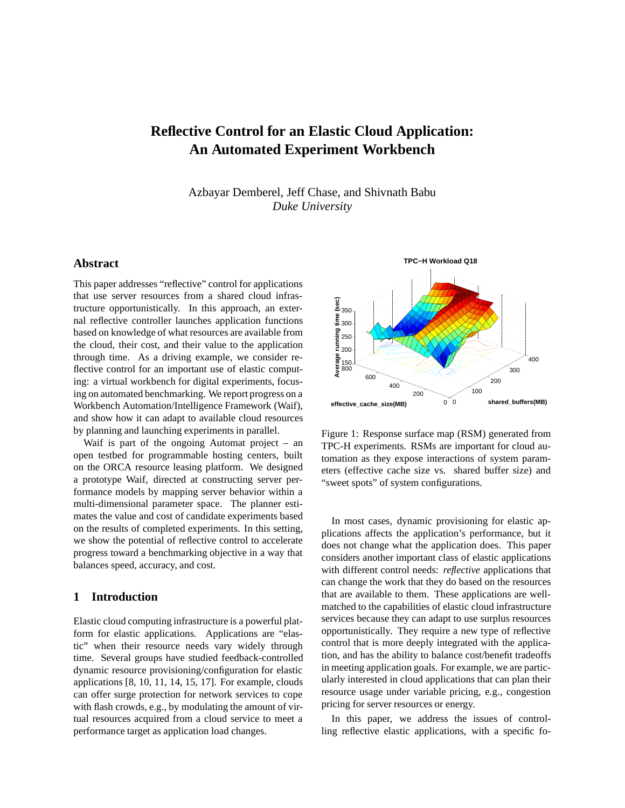# **Reflective Control for an Elastic Cloud Application: An Automated Experiment Workbench**

Azbayar Demberel, Jeff Chase, and Shivnath Babu *Duke University*

# **Abstract**

This paper addresses "reflective" control for applications that use server resources from a shared cloud infrastructure opportunistically. In this approach, an external reflective controller launches application functions based on knowledge of what resources are available from the cloud, their cost, and their value to the application through time. As a driving example, we consider reflective control for an important use of elastic computing: a virtual workbench for digital experiments, focusing on automated benchmarking. We report progress on a Workbench Automation/Intelligence Framework (Waif), and show how it can adapt to available cloud resources by planning and launching experiments in parallel.

Waif is part of the ongoing Automat project – an open testbed for programmable hosting centers, built on the ORCA resource leasing platform. We designed a prototype Waif, directed at constructing server performance models by mapping server behavior within a multi-dimensional parameter space. The planner estimates the value and cost of candidate experiments based on the results of completed experiments. In this setting, we show the potential of reflective control to accelerate progress toward a benchmarking objective in a way that balances speed, accuracy, and cost.

### **1 Introduction**

Elastic cloud computing infrastructure is a powerful platform for elastic applications. Applications are "elastic" when their resource needs vary widely through time. Several groups have studied feedback-controlled dynamic resource provisioning/configuration for elastic applications [8, 10, 11, 14, 15, 17]. For example, clouds can offer surge protection for network services to cope with flash crowds, e.g., by modulating the amount of virtual resources acquired from a cloud service to meet a performance target as application load changes.



Figure 1: Response surface map (RSM) generated from TPC-H experiments. RSMs are important for cloud automation as they expose interactions of system parameters (effective cache size vs. shared buffer size) and "sweet spots" of system configurations.

In most cases, dynamic provisioning for elastic applications affects the application's performance, but it does not change what the application does. This paper considers another important class of elastic applications with different control needs: *reflective* applications that can change the work that they do based on the resources that are available to them. These applications are wellmatched to the capabilities of elastic cloud infrastructure services because they can adapt to use surplus resources opportunistically. They require a new type of reflective control that is more deeply integrated with the application, and has the ability to balance cost/benefit tradeoffs in meeting application goals. For example, we are particularly interested in cloud applications that can plan their resource usage under variable pricing, e.g., congestion pricing for server resources or energy.

In this paper, we address the issues of controlling reflective elastic applications, with a specific fo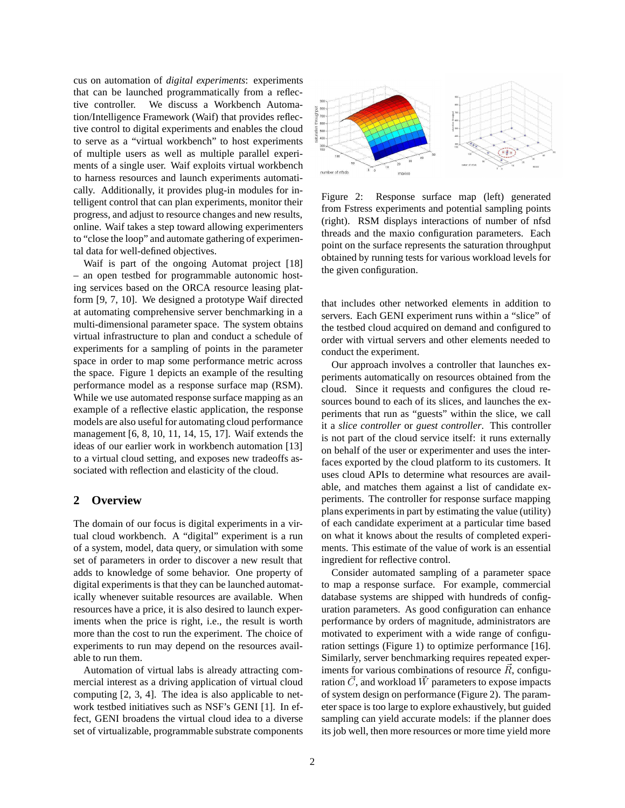cus on automation of *digital experiments*: experiments that can be launched programmatically from a reflective controller. We discuss a Workbench Automation/Intelligence Framework (Waif) that provides reflective control to digital experiments and enables the cloud to serve as a "virtual workbench" to host experiments of multiple users as well as multiple parallel experiments of a single user. Waif exploits virtual workbench to harness resources and launch experiments automatically. Additionally, it provides plug-in modules for intelligent control that can plan experiments, monitor their progress, and adjust to resource changes and new results, online. Waif takes a step toward allowing experimenters to "close the loop" and automate gathering of experimental data for well-defined objectives.

Waif is part of the ongoing Automat project [18] – an open testbed for programmable autonomic hosting services based on the ORCA resource leasing platform [9, 7, 10]. We designed a prototype Waif directed at automating comprehensive server benchmarking in a multi-dimensional parameter space. The system obtains virtual infrastructure to plan and conduct a schedule of experiments for a sampling of points in the parameter space in order to map some performance metric across the space. Figure 1 depicts an example of the resulting performance model as a response surface map (RSM). While we use automated response surface mapping as an example of a reflective elastic application, the response models are also useful for automating cloud performance management [6, 8, 10, 11, 14, 15, 17]. Waif extends the ideas of our earlier work in workbench automation [13] to a virtual cloud setting, and exposes new tradeoffs associated with reflection and elasticity of the cloud.

# **2 Overview**

The domain of our focus is digital experiments in a virtual cloud workbench. A "digital" experiment is a run of a system, model, data query, or simulation with some set of parameters in order to discover a new result that adds to knowledge of some behavior. One property of digital experiments is that they can be launched automatically whenever suitable resources are available. When resources have a price, it is also desired to launch experiments when the price is right, i.e., the result is worth more than the cost to run the experiment. The choice of experiments to run may depend on the resources available to run them.

Automation of virtual labs is already attracting commercial interest as a driving application of virtual cloud computing [2, 3, 4]. The idea is also applicable to network testbed initiatives such as NSF's GENI [1]. In effect, GENI broadens the virtual cloud idea to a diverse set of virtualizable, programmable substrate components



Figure 2: Response surface map (left) generated from Fstress experiments and potential sampling points (right). RSM displays interactions of number of nfsd threads and the maxio configuration parameters. Each point on the surface represents the saturation throughput obtained by running tests for various workload levels for the given configuration.

that includes other networked elements in addition to servers. Each GENI experiment runs within a "slice" of the testbed cloud acquired on demand and configured to order with virtual servers and other elements needed to conduct the experiment.

Our approach involves a controller that launches experiments automatically on resources obtained from the cloud. Since it requests and configures the cloud resources bound to each of its slices, and launches the experiments that run as "guests" within the slice, we call it a *slice controller* or *guest controller*. This controller is not part of the cloud service itself: it runs externally on behalf of the user or experimenter and uses the interfaces exported by the cloud platform to its customers. It uses cloud APIs to determine what resources are available, and matches them against a list of candidate experiments. The controller for response surface mapping plans experiments in part by estimating the value (utility) of each candidate experiment at a particular time based on what it knows about the results of completed experiments. This estimate of the value of work is an essential ingredient for reflective control.

Consider automated sampling of a parameter space to map a response surface. For example, commercial database systems are shipped with hundreds of configuration parameters. As good configuration can enhance performance by orders of magnitude, administrators are motivated to experiment with a wide range of configuration settings (Figure 1) to optimize performance [16]. Similarly, server benchmarking requires repeated experiments for various combinations of resource  $\vec{R}$ , configuration  $\vec{C}$ , and workload  $\vec{W}$  parameters to expose impacts of system design on performance (Figure 2). The parameter space is too large to explore exhaustively, but guided sampling can yield accurate models: if the planner does its job well, then more resources or more time yield more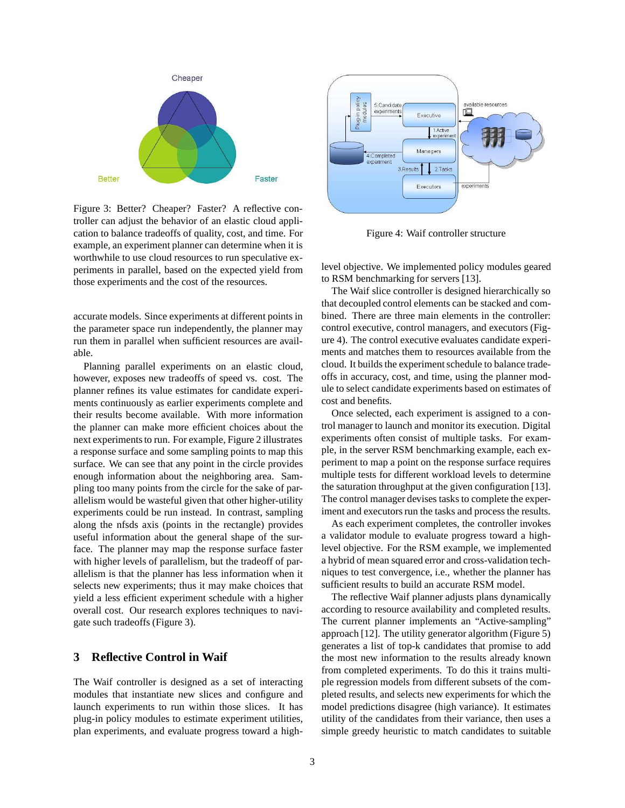

Figure 3: Better? Cheaper? Faster? A reflective controller can adjust the behavior of an elastic cloud application to balance tradeoffs of quality, cost, and time. For example, an experiment planner can determine when it is worthwhile to use cloud resources to run speculative experiments in parallel, based on the expected yield from those experiments and the cost of the resources.

accurate models. Since experiments at different points in the parameter space run independently, the planner may run them in parallel when sufficient resources are available.

Planning parallel experiments on an elastic cloud, however, exposes new tradeoffs of speed vs. cost. The planner refines its value estimates for candidate experiments continuously as earlier experiments complete and their results become available. With more information the planner can make more efficient choices about the next experiments to run. For example, Figure 2 illustrates a response surface and some sampling points to map this surface. We can see that any point in the circle provides enough information about the neighboring area. Sampling too many points from the circle for the sake of parallelism would be wasteful given that other higher-utility experiments could be run instead. In contrast, sampling along the nfsds axis (points in the rectangle) provides useful information about the general shape of the surface. The planner may map the response surface faster with higher levels of parallelism, but the tradeoff of parallelism is that the planner has less information when it selects new experiments; thus it may make choices that yield a less efficient experiment schedule with a higher overall cost. Our research explores techniques to navigate such tradeoffs (Figure 3).

# **3 Reflective Control in Waif**

The Waif controller is designed as a set of interacting modules that instantiate new slices and configure and launch experiments to run within those slices. It has plug-in policy modules to estimate experiment utilities, plan experiments, and evaluate progress toward a high-



Figure 4: Waif controller structure

level objective. We implemented policy modules geared to RSM benchmarking for servers [13].

The Waif slice controller is designed hierarchically so that decoupled control elements can be stacked and combined. There are three main elements in the controller: control executive, control managers, and executors (Figure 4). The control executive evaluates candidate experiments and matches them to resources available from the cloud. It builds the experiment schedule to balance tradeoffs in accuracy, cost, and time, using the planner module to select candidate experiments based on estimates of cost and benefits.

Once selected, each experiment is assigned to a control manager to launch and monitor its execution. Digital experiments often consist of multiple tasks. For example, in the server RSM benchmarking example, each experiment to map a point on the response surface requires multiple tests for different workload levels to determine the saturation throughput at the given configuration [13]. The control manager devises tasks to complete the experiment and executors run the tasks and process the results.

As each experiment completes, the controller invokes a validator module to evaluate progress toward a highlevel objective. For the RSM example, we implemented a hybrid of mean squared error and cross-validation techniques to test convergence, i.e., whether the planner has sufficient results to build an accurate RSM model.

The reflective Waif planner adjusts plans dynamically according to resource availability and completed results. The current planner implements an "Active-sampling" approach [12]. The utility generator algorithm (Figure 5) generates a list of top-k candidates that promise to add the most new information to the results already known from completed experiments. To do this it trains multiple regression models from different subsets of the completed results, and selects new experiments for which the model predictions disagree (high variance). It estimates utility of the candidates from their variance, then uses a simple greedy heuristic to match candidates to suitable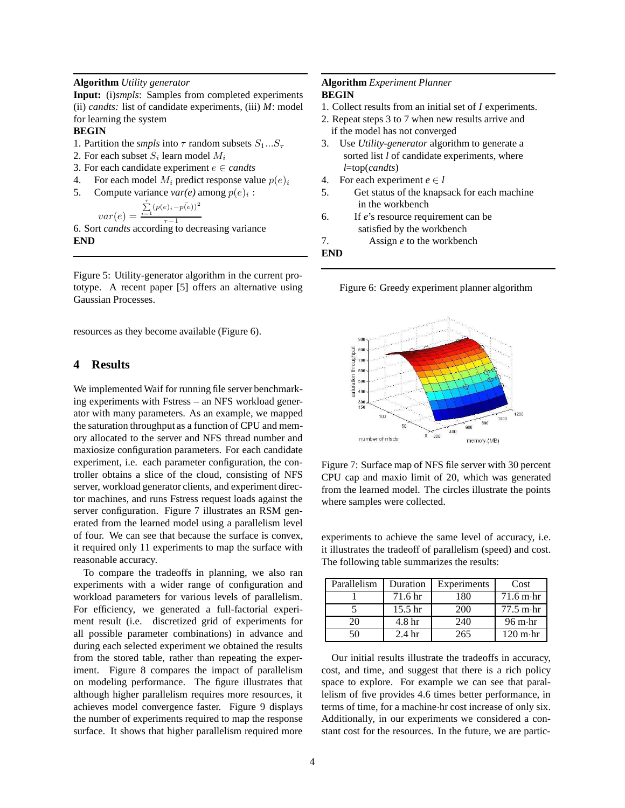### **Algorithm** *Utility generator*

**Input:** (i)*smpls*: Samples from completed experiments (ii) *candts:* list of candidate experiments, (iii) *M*: model for learning the system

#### **BEGIN**

- 1. Partition the *smpls* into  $\tau$  random subsets  $S_1...S_{\tau}$
- 2. For each subset  $S_i$  learn model  $M_i$
- 3. For each candidate experiment  $e \in \text{cands}$
- 4. For each model  $M_i$  predict response value  $p(e)_i$
- 5. Compute variance  $var(e)$  among  $p(e)_i$ :

$$
var(e) = \frac{\sum_{i=1}^{T} (p(e)_i - p(e))^2}{\tau - 1}
$$

 $var(e) = \frac{\tau-1}{\tau-1}$ <br>6. Sort *candts* according to decreasing variance **END**

Figure 5: Utility-generator algorithm in the current prototype. A recent paper [5] offers an alternative using Gaussian Processes.

resources as they become available (Figure 6).

## **4 Results**

We implemented Waif for running file server benchmarking experiments with Fstress – an NFS workload generator with many parameters. As an example, we mapped the saturation throughput as a function of CPU and memory allocated to the server and NFS thread number and maxiosize configuration parameters. For each candidate experiment, i.e. each parameter configuration, the controller obtains a slice of the cloud, consisting of NFS server, workload generator clients, and experiment director machines, and runs Fstress request loads against the server configuration. Figure 7 illustrates an RSM generated from the learned model using a parallelism level of four. We can see that because the surface is convex, it required only 11 experiments to map the surface with reasonable accuracy.

To compare the tradeoffs in planning, we also ran experiments with a wider range of configuration and workload parameters for various levels of parallelism. For efficiency, we generated a full-factorial experiment result (i.e. discretized grid of experiments for all possible parameter combinations) in advance and during each selected experiment we obtained the results from the stored table, rather than repeating the experiment. Figure 8 compares the impact of parallelism on modeling performance. The figure illustrates that although higher parallelism requires more resources, it achieves model convergence faster. Figure 9 displays the number of experiments required to map the response surface. It shows that higher parallelism required more

### **Algorithm** *Experiment Planner* **BEGIN**

- 1. Collect results from an initial set of *I* experiments.
- 2. Repeat steps 3 to 7 when new results arrive and if the model has not converged
- 3. Use *Utility-generator* algorithm to generate a sorted list *l* of candidate experiments, where *l*=top(*candts*)
- 4. For each experiment  $e \in l$
- 5. Get status of the knapsack for each machine in the workbench
- 6. If *e*'s resource requirement can be satisfied by the workbench
- 7. Assign *e* to the workbench

#### **END**

Figure 6: Greedy experiment planner algorithm



Figure 7: Surface map of NFS file server with 30 percent CPU cap and maxio limit of 20, which was generated from the learned model. The circles illustrate the points where samples were collected.

experiments to achieve the same level of accuracy, i.e. it illustrates the tradeoff of parallelism (speed) and cost. The following table summarizes the results:

| Parallelism | Duration           | Experiments | Cost                             |
|-------------|--------------------|-------------|----------------------------------|
|             | 71.6 hr            | 180         | $71.6 \text{ m} \cdot \text{hr}$ |
|             | 15.5 <sub>hr</sub> | 200         | $77.5 \text{ m} \cdot \text{hr}$ |
| 20          | 4.8 <sub>hr</sub>  | 240         | $96 \text{ m} \cdot \text{hr}$   |
| 50          | 2.4 <sub>hr</sub>  | 265         | $120 \text{ m} \cdot \text{hr}$  |

Our initial results illustrate the tradeoffs in accuracy, cost, and time, and suggest that there is a rich policy space to explore. For example we can see that parallelism of five provides 4.6 times better performance, in terms of time, for a machine·hr cost increase of only six. Additionally, in our experiments we considered a constant cost for the resources. In the future, we are partic-